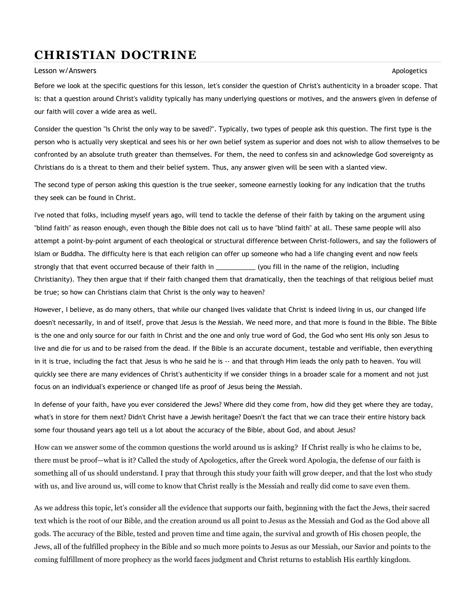## CHRISTIAN DOCTRINE

## Lesson w/Answers Apologetics Apologetics Apologetics Apologetics Apologetics Apologetics Apologetics Apologetics

Before we look at the specific questions for this lesson, let's consider the question of Christ's authenticity in a broader scope. That is: that a question around Christ's validity typically has many underlying questions or motives, and the answers given in defense of our faith will cover a wide area as well.

Consider the question "Is Christ the only way to be saved?". Typically, two types of people ask this question. The first type is the person who is actually very skeptical and sees his or her own belief system as superior and does not wish to allow themselves to be confronted by an absolute truth greater than themselves. For them, the need to confess sin and acknowledge God sovereignty as Christians do is a threat to them and their belief system. Thus, any answer given will be seen with a slanted view.

The second type of person asking this question is the true seeker, someone earnestly looking for any indication that the truths they seek can be found in Christ.

I've noted that folks, including myself years ago, will tend to tackle the defense of their faith by taking on the argument using "blind faith" as reason enough, even though the Bible does not call us to have "blind faith" at all. These same people will also attempt a point-by-point argument of each theological or structural difference between Christ-followers, and say the followers of Islam or Buddha. The difficulty here is that each religion can offer up someone who had a life changing event and now feels strongly that that event occurred because of their faith in \_\_\_\_\_\_\_\_\_\_\_\_(you fill in the name of the religion, including Christianity). They then argue that if their faith changed them that dramatically, then the teachings of that religious belief must be true; so how can Christians claim that Christ is the only way to heaven?

However, I believe, as do many others, that while our changed lives validate that Christ is indeed living in us, our changed life doesn't necessarily, in and of itself, prove that Jesus is the Messiah. We need more, and that more is found in the Bible. The Bible is the one and only source for our faith in Christ and the one and only true word of God, the God who sent His only son Jesus to live and die for us and to be raised from the dead. If the Bible is an accurate document, testable and verifiable, then everything in it is true, including the fact that Jesus is who he said he is -- and that through Him leads the only path to heaven. You will quickly see there are many evidences of Christ's authenticity if we consider things in a broader scale for a moment and not just focus on an individual's experience or changed life as proof of Jesus being the Messiah.

In defense of your faith, have you ever considered the Jews? Where did they come from, how did they get where they are today, what's in store for them next? Didn't Christ have a Jewish heritage? Doesn't the fact that we can trace their entire history back some four thousand years ago tell us a lot about the accuracy of the Bible, about God, and about Jesus?

How can we answer some of the common questions the world around us is asking? If Christ really is who he claims to be, there must be proof—what is it? Called the study of Apologetics, after the Greek word Apologia, the defense of our faith is something all of us should understand. I pray that through this study your faith will grow deeper, and that the lost who study with us, and live around us, will come to know that Christ really is the Messiah and really did come to save even them.

As we address this topic, let's consider all the evidence that supports our faith, beginning with the fact the Jews, their sacred text which is the root of our Bible, and the creation around us all point to Jesus as the Messiah and God as the God above all gods. The accuracy of the Bible, tested and proven time and time again, the survival and growth of His chosen people, the Jews, all of the fulfilled prophecy in the Bible and so much more points to Jesus as our Messiah, our Savior and points to the coming fulfillment of more prophecy as the world faces judgment and Christ returns to establish His earthly kingdom.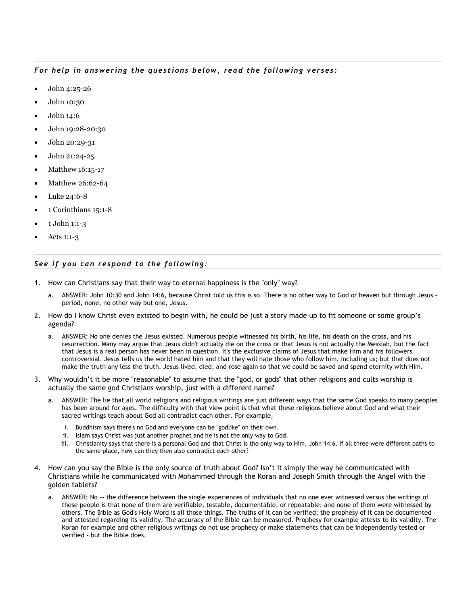## For help in answering the questions below, read the following verses:

- John 4:25-26
- John 10:30
- John 14:6
- John 19:28-20:30
- John 20:29-31
- John 21:24-25
- Matthew 16:15-17
- Matthew 26:62-64
- Luke 24:6-8
- 1 Corinthians 15:1-8
- 1 John 1:1-3
- Acts 1:1-3

## See if you can respond to the following:

- 1. How can Christians say that their way to eternal happiness is the "only" way?
	- a. ANSWER: John 10:30 and John 14:6, because Christ told us this is so. There is no other way to God or heaven but through Jesus period, none, no other way but one, Jesus.
- 2. How do I know Christ even existed to begin with, he could be just a story made up to fit someone or some group's agenda?
	- a. ANSWER: No one denies the Jesus existed. Numerous people witnessed his birth, his life, his death on the cross, and his resurrection. Many may argue that Jesus didn't actually die on the cross or that Jesus is not actually the Messiah, but the fact that Jesus is a real person has never been in question. It's the exclusive claims of Jesus that make Him and his followers controversial. Jesus tells us the world hated him and that they will hate those who follow him, including us; but that does not make the truth any less the truth. Jesus lived, died, and rose again so that we could be saved and spend eternity with Him.
- 3. Why wouldn't it be more "reasonable" to assume that the "god, or gods" that other religions and cults worship is actually the same god Christians worship, just with a different name?
	- a. ANSWER: The lie that all world religions and religious writings are just different ways that the same God speaks to many peoples has been around for ages. The difficulty with that view point is that what these religions believe about God and what their sacred writings teach about God all contradict each other. For example,
		- i. Buddhism says there's no God and everyone can be "godlike" on their own.
		- ii. Islam says Christ was just another prophet and he is not the only way to God.
		- iii. Christianity says that there is a personal God and that Christ is the only way to Him, John 14:6. If all three were different paths to the same place, how can they then also contradict each other?
- 4. How can you say the Bible is the only source of truth about God? Isn't it simply the way he communicated with Christians while he communicated with Mohammed through the Koran and Joseph Smith through the Angel with the golden tablets?
	- a. ANSWER: No -- the difference between the single experiences of individuals that no one ever witnessed versus the writings of these people is that none of them are verifiable, testable, documentable, or repeatable; and none of them were witnessed by others. The Bible as God's Holy Word is all those things. The truths of it can be verified; the prophesy of it can be documented and attested regarding its validity. The accuracy of the Bible can be measured. Prophesy for example attests to its validity. The Koran for example and other religious writings do not use prophecy or make statements that can be independently tested or verified - but the Bible does.